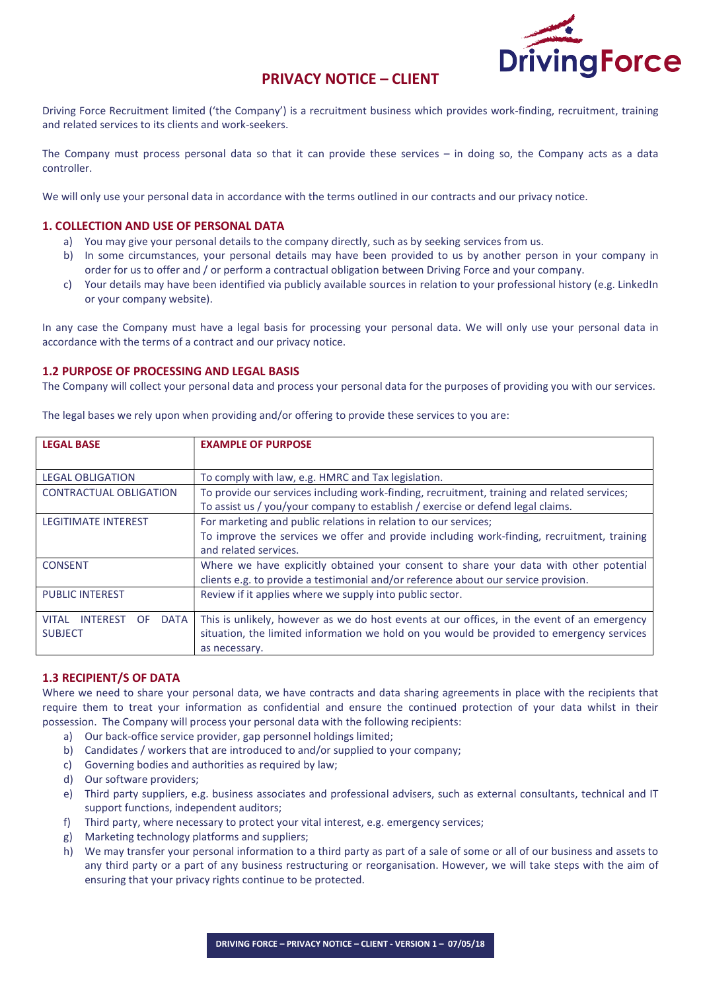

# PRIVACY NOTICE – CLIENT

Driving Force Recruitment limited ('the Company') is a recruitment business which provides work-finding, recruitment, training and related services to its clients and work-seekers.

The Company must process personal data so that it can provide these services – in doing so, the Company acts as a data controller.

We will only use your personal data in accordance with the terms outlined in our contracts and our privacy notice.

# 1. COLLECTION AND USE OF PERSONAL DATA

- a) You may give your personal details to the company directly, such as by seeking services from us.
- b) In some circumstances, your personal details may have been provided to us by another person in your company in order for us to offer and / or perform a contractual obligation between Driving Force and your company.
- c) Your details may have been identified via publicly available sources in relation to your professional history (e.g. LinkedIn or your company website).

In any case the Company must have a legal basis for processing your personal data. We will only use your personal data in accordance with the terms of a contract and our privacy notice.

## 1.2 PURPOSE OF PROCESSING AND LEGAL BASIS

The Company will collect your personal data and process your personal data for the purposes of providing you with our services.

| <b>LEGAL BASE</b>                                     | <b>EXAMPLE OF PURPOSE</b>                                                                   |
|-------------------------------------------------------|---------------------------------------------------------------------------------------------|
|                                                       |                                                                                             |
| <b>LEGAL OBLIGATION</b>                               | To comply with law, e.g. HMRC and Tax legislation.                                          |
| <b>CONTRACTUAL OBLIGATION</b>                         | To provide our services including work-finding, recruitment, training and related services; |
|                                                       | To assist us / you/your company to establish / exercise or defend legal claims.             |
| <b>LEGITIMATE INTEREST</b>                            | For marketing and public relations in relation to our services;                             |
|                                                       | To improve the services we offer and provide including work-finding, recruitment, training  |
|                                                       | and related services.                                                                       |
| <b>CONSENT</b>                                        | Where we have explicitly obtained your consent to share your data with other potential      |
|                                                       | clients e.g. to provide a testimonial and/or reference about our service provision.         |
| <b>PUBLIC INTEREST</b>                                | Review if it applies where we supply into public sector.                                    |
|                                                       |                                                                                             |
| <b>VITAL</b><br><b>INTEREST</b><br><b>DATA</b><br>OF. | This is unlikely, however as we do host events at our offices, in the event of an emergency |
| <b>SUBJECT</b>                                        | situation, the limited information we hold on you would be provided to emergency services   |
|                                                       | as necessary.                                                                               |

The legal bases we rely upon when providing and/or offering to provide these services to you are:

# 1.3 RECIPIENT/S OF DATA

Where we need to share your personal data, we have contracts and data sharing agreements in place with the recipients that require them to treat your information as confidential and ensure the continued protection of your data whilst in their possession. The Company will process your personal data with the following recipients:

- a) Our back-office service provider, gap personnel holdings limited;
- b) Candidates / workers that are introduced to and/or supplied to your company;
- c) Governing bodies and authorities as required by law;
- d) Our software providers;
- e) Third party suppliers, e.g. business associates and professional advisers, such as external consultants, technical and IT support functions, independent auditors;
- f) Third party, where necessary to protect your vital interest, e.g. emergency services;
- g) Marketing technology platforms and suppliers;
- h) We may transfer your personal information to a third party as part of a sale of some or all of our business and assets to any third party or a part of any business restructuring or reorganisation. However, we will take steps with the aim of ensuring that your privacy rights continue to be protected.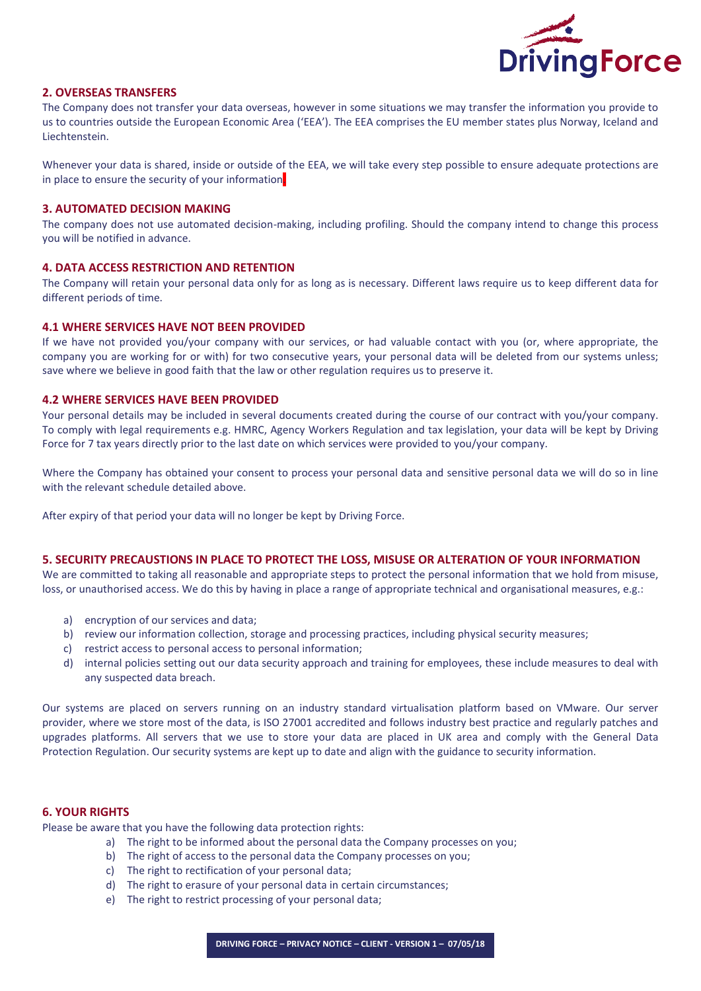

# 2. OVERSEAS TRANSFERS

The Company does not transfer your data overseas, however in some situations we may transfer the information you provide to us to countries outside the European Economic Area ('EEA'). The EEA comprises the EU member states plus Norway, Iceland and Liechtenstein.

Whenever your data is shared, inside or outside of the EEA, we will take every step possible to ensure adequate protections are in place to ensure the security of your information

#### 3. AUTOMATED DECISION MAKING

The company does not use automated decision-making, including profiling. Should the company intend to change this process you will be notified in advance.

# 4. DATA ACCESS RESTRICTION AND RETENTION

The Company will retain your personal data only for as long as is necessary. Different laws require us to keep different data for different periods of time.

## 4.1 WHERE SERVICES HAVE NOT BEEN PROVIDED

If we have not provided you/your company with our services, or had valuable contact with you (or, where appropriate, the company you are working for or with) for two consecutive years, your personal data will be deleted from our systems unless; save where we believe in good faith that the law or other regulation requires us to preserve it.

## 4.2 WHERE SERVICES HAVE BEEN PROVIDED

Your personal details may be included in several documents created during the course of our contract with you/your company. To comply with legal requirements e.g. HMRC, Agency Workers Regulation and tax legislation, your data will be kept by Driving Force for 7 tax years directly prior to the last date on which services were provided to you/your company.

Where the Company has obtained your consent to process your personal data and sensitive personal data we will do so in line with the relevant schedule detailed above.

After expiry of that period your data will no longer be kept by Driving Force.

## 5. SECURITY PRECAUSTIONS IN PLACE TO PROTECT THE LOSS, MISUSE OR ALTERATION OF YOUR INFORMATION

We are committed to taking all reasonable and appropriate steps to protect the personal information that we hold from misuse, loss, or unauthorised access. We do this by having in place a range of appropriate technical and organisational measures, e.g.:

- a) encryption of our services and data;
- b) review our information collection, storage and processing practices, including physical security measures;
- c) restrict access to personal access to personal information;
- d) internal policies setting out our data security approach and training for employees, these include measures to deal with any suspected data breach.

Our systems are placed on servers running on an industry standard virtualisation platform based on VMware. Our server provider, where we store most of the data, is ISO 27001 accredited and follows industry best practice and regularly patches and upgrades platforms. All servers that we use to store your data are placed in UK area and comply with the General Data Protection Regulation. Our security systems are kept up to date and align with the guidance to security information.

#### 6. YOUR RIGHTS

Please be aware that you have the following data protection rights:

- a) The right to be informed about the personal data the Company processes on you;
- b) The right of access to the personal data the Company processes on you;
- c) The right to rectification of your personal data;
- d) The right to erasure of your personal data in certain circumstances;
- e) The right to restrict processing of your personal data;